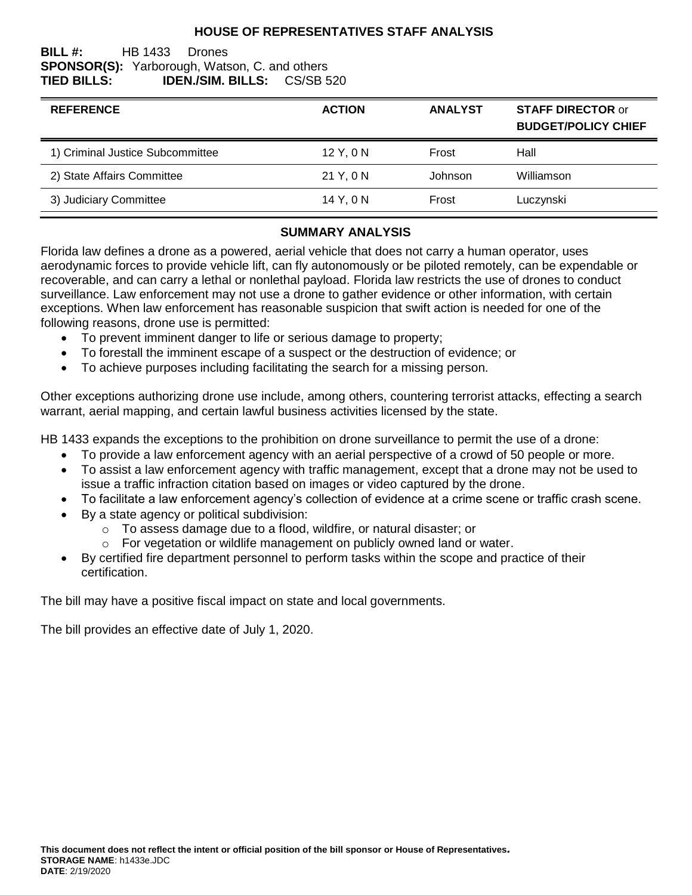## **HOUSE OF REPRESENTATIVES STAFF ANALYSIS**

#### **BILL #:** HB 1433 Drones **SPONSOR(S):** Yarborough, Watson, C. and others **TIED BILLS: IDEN./SIM. BILLS:** CS/SB 520

| <b>REFERENCE</b>                 | <b>ACTION</b> | <b>ANALYST</b> | <b>STAFF DIRECTOR or</b><br><b>BUDGET/POLICY CHIEF</b> |
|----------------------------------|---------------|----------------|--------------------------------------------------------|
| 1) Criminal Justice Subcommittee | 12 Y, 0 N     | Frost          | Hall                                                   |
| 2) State Affairs Committee       | 21 Y, 0 N     | Johnson        | Williamson                                             |
| 3) Judiciary Committee           | 14 Y.ON       | Frost          | Luczynski                                              |

#### **SUMMARY ANALYSIS**

Florida law defines a drone as a powered, aerial vehicle that does not carry a human operator, uses aerodynamic forces to provide vehicle lift, can fly autonomously or be piloted remotely, can be expendable or recoverable, and can carry a lethal or nonlethal payload. Florida law restricts the use of drones to conduct surveillance. Law enforcement may not use a drone to gather evidence or other information, with certain exceptions. When law enforcement has reasonable suspicion that swift action is needed for one of the following reasons, drone use is permitted:

- To prevent imminent danger to life or serious damage to property;
- To forestall the imminent escape of a suspect or the destruction of evidence; or
- To achieve purposes including facilitating the search for a missing person.

Other exceptions authorizing drone use include, among others, countering terrorist attacks, effecting a search warrant, aerial mapping, and certain lawful business activities licensed by the state.

HB 1433 expands the exceptions to the prohibition on drone surveillance to permit the use of a drone:

- To provide a law enforcement agency with an aerial perspective of a crowd of 50 people or more.
- To assist a law enforcement agency with traffic management, except that a drone may not be used to issue a traffic infraction citation based on images or video captured by the drone.
- To facilitate a law enforcement agency's collection of evidence at a crime scene or traffic crash scene.
- By a state agency or political subdivision:
	- o To assess damage due to a flood, wildfire, or natural disaster; or
	- o For vegetation or wildlife management on publicly owned land or water.
- By certified fire department personnel to perform tasks within the scope and practice of their certification.

The bill may have a positive fiscal impact on state and local governments.

The bill provides an effective date of July 1, 2020.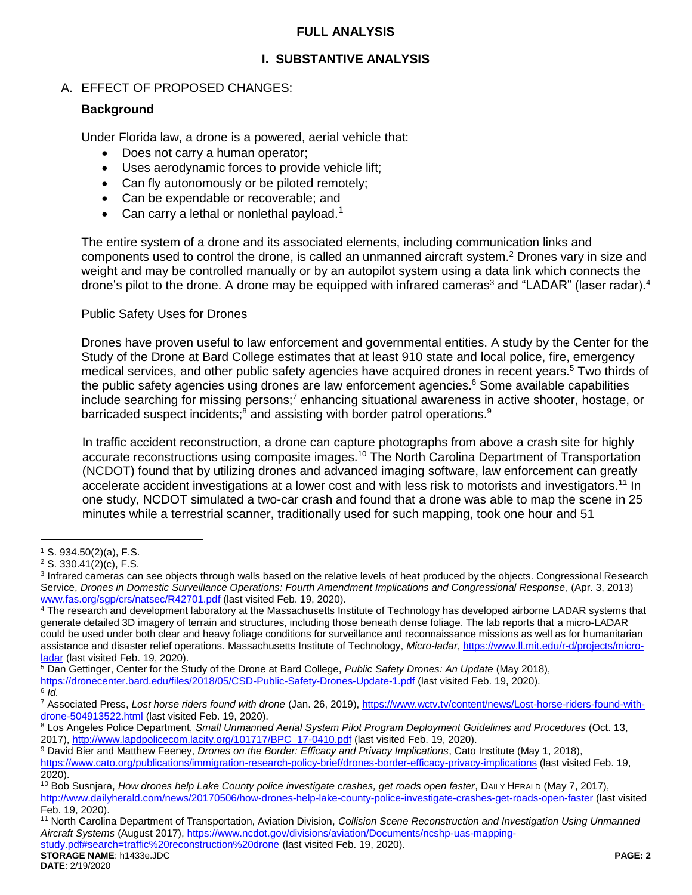## **FULL ANALYSIS**

# **I. SUBSTANTIVE ANALYSIS**

# A. EFFECT OF PROPOSED CHANGES:

## **Background**

Under Florida law, a drone is a powered, aerial vehicle that:

- Does not carry a human operator;
- Uses aerodynamic forces to provide vehicle lift;
- Can fly autonomously or be piloted remotely;
- Can be expendable or recoverable; and
- Can carry a lethal or nonlethal payload.<sup>1</sup>

The entire system of a drone and its associated elements, including communication links and components used to control the drone, is called an unmanned aircraft system.<sup>2</sup> Drones vary in size and weight and may be controlled manually or by an autopilot system using a data link which connects the drone's pilot to the drone. A drone may be equipped with infrared cameras<sup>3</sup> and "LADAR" (laser radar).<sup>4</sup>

## Public Safety Uses for Drones

Drones have proven useful to law enforcement and governmental entities. A study by the Center for the Study of the Drone at Bard College estimates that at least 910 state and local police, fire, emergency medical services, and other public safety agencies have acquired drones in recent years.<sup>5</sup> Two thirds of the public safety agencies using drones are law enforcement agencies. <sup>6</sup> Some available capabilities include searching for missing persons;<sup>7</sup> enhancing situational awareness in active shooter, hostage, or barricaded suspect incidents;<sup>8</sup> and assisting with border patrol operations.<sup>9</sup>

In traffic accident reconstruction, a drone can capture photographs from above a crash site for highly accurate reconstructions using composite images.<sup>10</sup> The North Carolina Department of Transportation (NCDOT) found that by utilizing drones and advanced imaging software, law enforcement can greatly accelerate accident investigations at a lower cost and with less risk to motorists and investigators.<sup>11</sup> In one study, NCDOT simulated a two-car crash and found that a drone was able to map the scene in 25 minutes while a terrestrial scanner, traditionally used for such mapping, took one hour and 51

 $\overline{a}$ 

[study.pdf#search=traffic%20reconstruction%20drone](https://www.ncdot.gov/divisions/aviation/Documents/ncshp-uas-mapping-study.pdf#search=traffic%20reconstruction%20drone) (last visited Feb. 19, 2020).

<sup>1</sup> S. 934.50(2)(a), F.S.

<sup>2</sup> S. 330.41(2)(c), F.S.

<sup>&</sup>lt;sup>3</sup> Infrared cameras can see objects through walls based on the relative levels of heat produced by the objects. Congressional Research Service, *Drones in Domestic Surveillance Operations: Fourth Amendment Implications and Congressional Response*, (Apr. 3, 2013) [www.fas.org/sgp/crs/natsec/R42701.pdf](http://www.fas.org/sgp/crs/natsec/R42701.pdf) (last visited Feb. 19, 2020).

<sup>&</sup>lt;sup>4</sup> The research and development laboratory at the Massachusetts Institute of Technology has developed airborne LADAR systems that generate detailed 3D imagery of terrain and structures, including those beneath dense foliage. The lab reports that a micro-LADAR could be used under both clear and heavy foliage conditions for surveillance and reconnaissance missions as well as for humanitarian assistance and disaster relief operations. Massachusetts Institute of Technology, *Micro-ladar*[, https://www.ll.mit.edu/r-d/projects/micro](https://www.ll.mit.edu/r-d/projects/micro-ladar)[ladar](https://www.ll.mit.edu/r-d/projects/micro-ladar) (last visited Feb. 19, 2020).

<sup>5</sup> Dan Gettinger, Center for the Study of the Drone at Bard College, *Public Safety Drones: An Update* (May 2018), <https://dronecenter.bard.edu/files/2018/05/CSD-Public-Safety-Drones-Update-1.pdf> (last visited Feb. 19, 2020). 6 *Id.*

<sup>&</sup>lt;sup>7</sup> Associated Press, Lost horse riders found with drone (Jan. 26, 2019)[, https://www.wctv.tv/content/news/Lost-horse-riders-found-with](https://www.wctv.tv/content/news/Lost-horse-riders-found-with-drone-504913522.html)[drone-504913522.html](https://www.wctv.tv/content/news/Lost-horse-riders-found-with-drone-504913522.html) (last visited Feb. 19, 2020).

<sup>8</sup> Los Angeles Police Department, *Small Unmanned Aerial System Pilot Program Deployment Guidelines and Procedures* (Oct. 13, 2017), [http://www.lapdpolicecom.lacity.org/101717/BPC\\_17-0410.pdf](http://www.lapdpolicecom.lacity.org/101717/BPC_17-0410.pdf) (last visited Feb. 19, 2020).

<sup>9</sup> David Bier and Matthew Feeney, *Drones on the Border: Efficacy and Privacy Implications*, Cato Institute (May 1, 2018),

<https://www.cato.org/publications/immigration-research-policy-brief/drones-border-efficacy-privacy-implications> (last visited Feb. 19, 2020).

<sup>&</sup>lt;sup>10</sup> Bob Susnjara, *How drones help Lake County police investigate crashes, get roads open faster*, DAILY HERALD (May 7, 2017), <http://www.dailyherald.com/news/20170506/how-drones-help-lake-county-police-investigate-crashes-get-roads-open-faster> (last visited Feb. 19, 2020).

<sup>11</sup> North Carolina Department of Transportation, Aviation Division, *Collision Scene Reconstruction and Investigation Using Unmanned Aircraft Systems* (August 2017)[, https://www.ncdot.gov/divisions/aviation/Documents/ncshp-uas-mapping-](https://www.ncdot.gov/divisions/aviation/Documents/ncshp-uas-mapping-study.pdf#search=traffic%20reconstruction%20drone)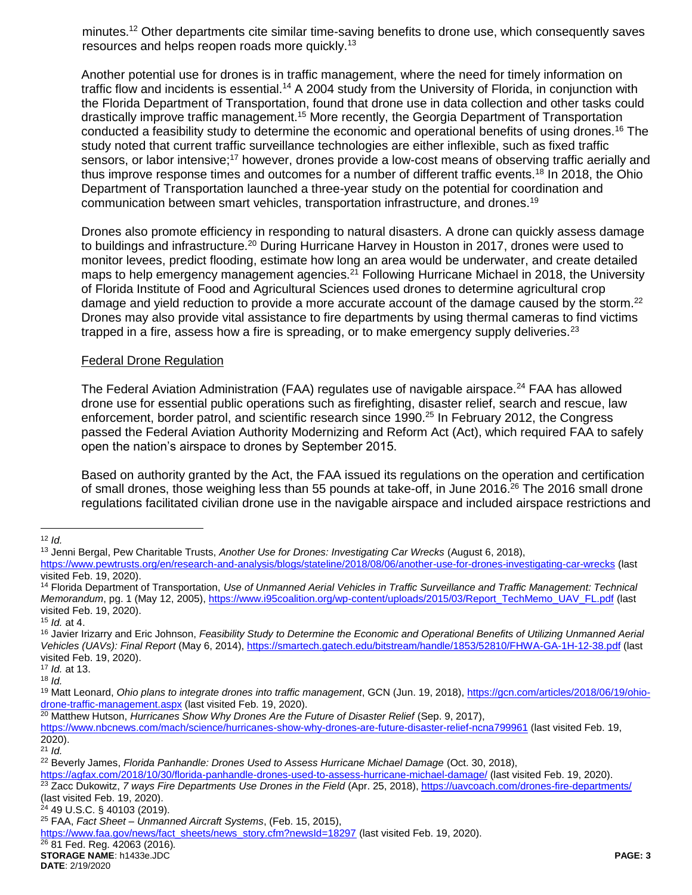minutes.<sup>12</sup> Other departments cite similar time-saving benefits to drone use, which consequently saves resources and helps reopen roads more quickly.<sup>13</sup>

Another potential use for drones is in traffic management, where the need for timely information on traffic flow and incidents is essential.<sup>14</sup> A 2004 study from the University of Florida, in conjunction with the Florida Department of Transportation, found that drone use in data collection and other tasks could drastically improve traffic management.<sup>15</sup> More recently, the Georgia Department of Transportation conducted a feasibility study to determine the economic and operational benefits of using drones.<sup>16</sup> The study noted that current traffic surveillance technologies are either inflexible, such as fixed traffic sensors, or labor intensive;<sup>17</sup> however, drones provide a low-cost means of observing traffic aerially and thus improve response times and outcomes for a number of different traffic events.<sup>18</sup> In 2018, the Ohio Department of Transportation launched a three-year study on the potential for coordination and communication between smart vehicles, transportation infrastructure, and drones.<sup>19</sup>

Drones also promote efficiency in responding to natural disasters. A drone can quickly assess damage to buildings and infrastructure.<sup>20</sup> During Hurricane Harvey in Houston in 2017, drones were used to monitor levees, predict flooding, estimate how long an area would be underwater, and create detailed maps to help emergency management agencies.<sup>21</sup> Following Hurricane Michael in 2018, the University of Florida Institute of Food and Agricultural Sciences used drones to determine agricultural crop damage and yield reduction to provide a more accurate account of the damage caused by the storm.<sup>22</sup> Drones may also provide vital assistance to fire departments by using thermal cameras to find victims trapped in a fire, assess how a fire is spreading, or to make emergency supply deliveries.<sup>23</sup>

#### Federal Drone Regulation

The Federal Aviation Administration (FAA) regulates use of navigable airspace.<sup>24</sup> FAA has allowed drone use for essential public operations such as firefighting, disaster relief, search and rescue, law enforcement, border patrol, and scientific research since 1990.<sup>25</sup> In February 2012, the Congress passed the Federal Aviation Authority Modernizing and Reform Act (Act), which required FAA to safely open the nation's airspace to drones by September 2015.

Based on authority granted by the Act, the FAA issued its regulations on the operation and certification of small drones, those weighing less than 55 pounds at take-off, in June 2016.<sup>26</sup> The 2016 small drone regulations facilitated civilian drone use in the navigable airspace and included airspace restrictions and

 $\overline{a}$ <sup>12</sup> *Id.*

<sup>13</sup> Jenni Bergal, Pew Charitable Trusts, *Another Use for Drones: Investigating Car Wrecks* (August 6, 2018),

<https://www.pewtrusts.org/en/research-and-analysis/blogs/stateline/2018/08/06/another-use-for-drones-investigating-car-wrecks> (last visited Feb. 19, 2020).

<sup>14</sup> Florida Department of Transportation, *Use of Unmanned Aerial Vehicles in Traffic Surveillance and Traffic Management: Technical Memorandum*, pg. 1 (May 12, 2005)[, https://www.i95coalition.org/wp-content/uploads/2015/03/Report\\_TechMemo\\_UAV\\_FL.pdf](https://www.i95coalition.org/wp-content/uploads/2015/03/Report_TechMemo_UAV_FL.pdf) (last visited Feb. 19, 2020).

<sup>15</sup> *Id.* at 4.

<sup>&</sup>lt;sup>16</sup> Javier Irizarry and Eric Johnson, *Feasibility Study to Determine the Economic and Operational Benefits of Utilizing Unmanned Aerial Vehicles (UAVs): Final Report* (May 6, 2014)[, https://smartech.gatech.edu/bitstream/handle/1853/52810/FHWA-GA-1H-12-38.pdf](https://smartech.gatech.edu/bitstream/handle/1853/52810/FHWA-GA-1H-12-38.pdf) (last visited Feb. 19, 2020).

<sup>17</sup> *Id.* at 13.

<sup>18</sup> *Id.*

<sup>19</sup> Matt Leonard, *Ohio plans to integrate drones into traffic management*, GCN (Jun. 19, 2018), [https://gcn.com/articles/2018/06/19/ohio](https://gcn.com/articles/2018/06/19/ohio-drone-traffic-management.aspx)[drone-traffic-management.aspx](https://gcn.com/articles/2018/06/19/ohio-drone-traffic-management.aspx) (last visited Feb. 19, 2020).

<sup>20</sup> Matthew Hutson, *Hurricanes Show Why Drones Are the Future of Disaster Relief* (Sep. 9, 2017),

<https://www.nbcnews.com/mach/science/hurricanes-show-why-drones-are-future-disaster-relief-ncna799961> (last visited Feb. 19, 2020).

<sup>21</sup> *Id.*

<sup>22</sup> Beverly James, *Florida Panhandle: Drones Used to Assess Hurricane Michael Damage* (Oct. 30, 2018),

<https://agfax.com/2018/10/30/florida-panhandle-drones-used-to-assess-hurricane-michael-damage/> (last visited Feb. 19, 2020).

<sup>&</sup>lt;sup>23</sup> Zacc Dukowitz, 7 ways Fire Departments Use Drones in the Field (Apr. 25, 2018),<https://uavcoach.com/drones-fire-departments/> (last visited Feb. 19, 2020).

<sup>24</sup> 49 U.S.C. § 40103 (2019).

<sup>25</sup> FAA, *Fact Sheet – Unmanned Aircraft Systems*, (Feb. 15, 2015),

[https://www.faa.gov/news/fact\\_sheets/news\\_story.cfm?newsId=18297](https://www.faa.gov/news/fact_sheets/news_story.cfm?newsId=18297) (last visited Feb. 19, 2020).

<sup>26</sup> 81 Fed. Reg. 42063 (2016)*.*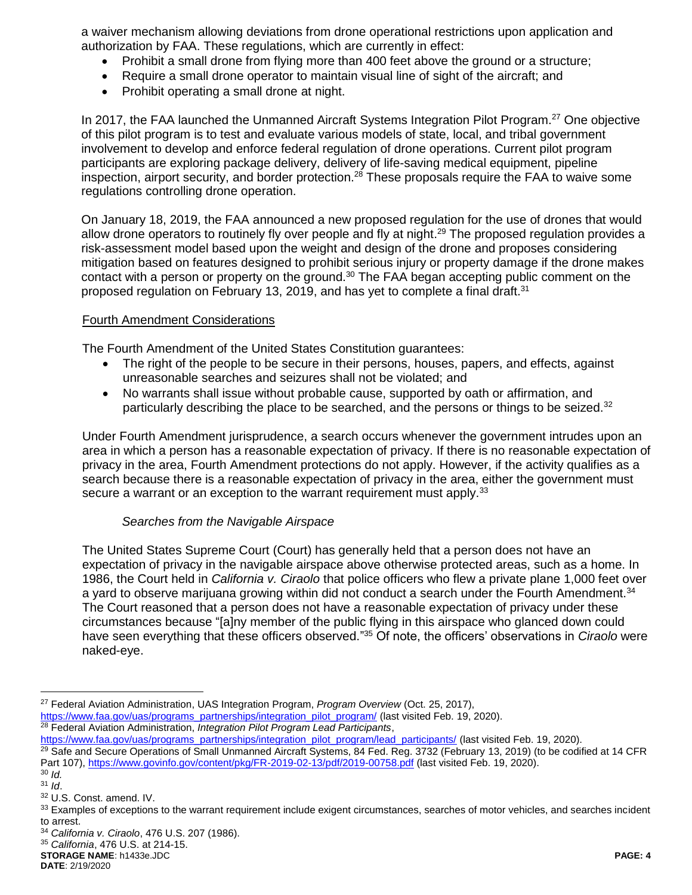a waiver mechanism allowing deviations from drone operational restrictions upon application and authorization by FAA. These regulations, which are currently in effect:

- Prohibit a small drone from flying more than 400 feet above the ground or a structure;
- Require a small drone operator to maintain visual line of sight of the aircraft; and
- Prohibit operating a small drone at night.

In 2017, the FAA launched the Unmanned Aircraft Systems Integration Pilot Program.<sup>27</sup> One objective of this pilot program is to test and evaluate various models of state, local, and tribal government involvement to develop and enforce federal regulation of drone operations. Current pilot program participants are exploring package delivery, delivery of life-saving medical equipment, pipeline inspection, airport security, and border protection.<sup>28</sup> These proposals require the FAA to waive some regulations controlling drone operation.

On January 18, 2019, the FAA announced a new proposed regulation for the use of drones that would allow drone operators to routinely fly over people and fly at night.<sup>29</sup> The proposed regulation provides a risk-assessment model based upon the weight and design of the drone and proposes considering mitigation based on features designed to prohibit serious injury or property damage if the drone makes contact with a person or property on the ground.<sup>30</sup> The FAA began accepting public comment on the proposed regulation on February 13, 2019, and has yet to complete a final draft.<sup>31</sup>

#### Fourth Amendment Considerations

The Fourth Amendment of the United States Constitution guarantees:

- The right of the people to be secure in their persons, houses, papers, and effects, against unreasonable searches and seizures shall not be violated; and
- No warrants shall issue without probable cause, supported by oath or affirmation, and particularly describing the place to be searched, and the persons or things to be seized.<sup>32</sup>

Under Fourth Amendment jurisprudence, a search occurs whenever the government intrudes upon an area in which a person has a reasonable expectation of privacy. If there is no reasonable expectation of privacy in the area, Fourth Amendment protections do not apply. However, if the activity qualifies as a search because there is a reasonable expectation of privacy in the area, either the government must secure a warrant or an exception to the warrant requirement must apply.<sup>33</sup>

## *Searches from the Navigable Airspace*

The United States Supreme Court (Court) has generally held that a person does not have an expectation of privacy in the navigable airspace above otherwise protected areas, such as a home. In 1986, the Court held in *California v. Ciraolo* that police officers who flew a private plane 1,000 feet over a yard to observe marijuana growing within did not conduct a search under the Fourth Amendment.<sup>34</sup> The Court reasoned that a person does not have a reasonable expectation of privacy under these circumstances because "[a]ny member of the public flying in this airspace who glanced down could have seen everything that these officers observed." <sup>35</sup> Of note, the officers' observations in *Ciraolo* were naked-eye.

<sup>28</sup> Federal Aviation Administration, *Integration Pilot Program Lead Participants*,

 $\overline{a}$ 

<sup>35</sup> *California*, 476 U.S. at 214-15.

**STORAGE NAME**: h1433e.JDC **PAGE: 4 DATE**: 2/19/2020

<sup>27</sup> Federal Aviation Administration, UAS Integration Program, *Program Overview* (Oct. 25, 2017), [https://www.faa.gov/uas/programs\\_partnerships/integration\\_pilot\\_program/](https://www.faa.gov/uas/programs_partnerships/integration_pilot_program/) (last visited Feb. 19, 2020).

[https://www.faa.gov/uas/programs\\_partnerships/integration\\_pilot\\_program/lead\\_participants/](https://www.faa.gov/uas/programs_partnerships/integration_pilot_program/lead_participants/) (last visited Feb. 19, 2020).

<sup>&</sup>lt;sup>29</sup> Safe and Secure Operations of Small Unmanned Aircraft Systems, 84 Fed. Reg. 3732 (February 13, 2019) (to be codified at 14 CFR Part 107),<https://www.govinfo.gov/content/pkg/FR-2019-02-13/pdf/2019-00758.pdf> (last visited Feb. 19, 2020).

<sup>30</sup> *Id.*

<sup>31</sup> *Id*.

<sup>32</sup> U.S. Const. amend. IV.

<sup>33</sup> Examples of exceptions to the warrant requirement include exigent circumstances, searches of motor vehicles, and searches incident to arrest.

<sup>34</sup> *California v. Ciraolo*, 476 U.S. 207 (1986).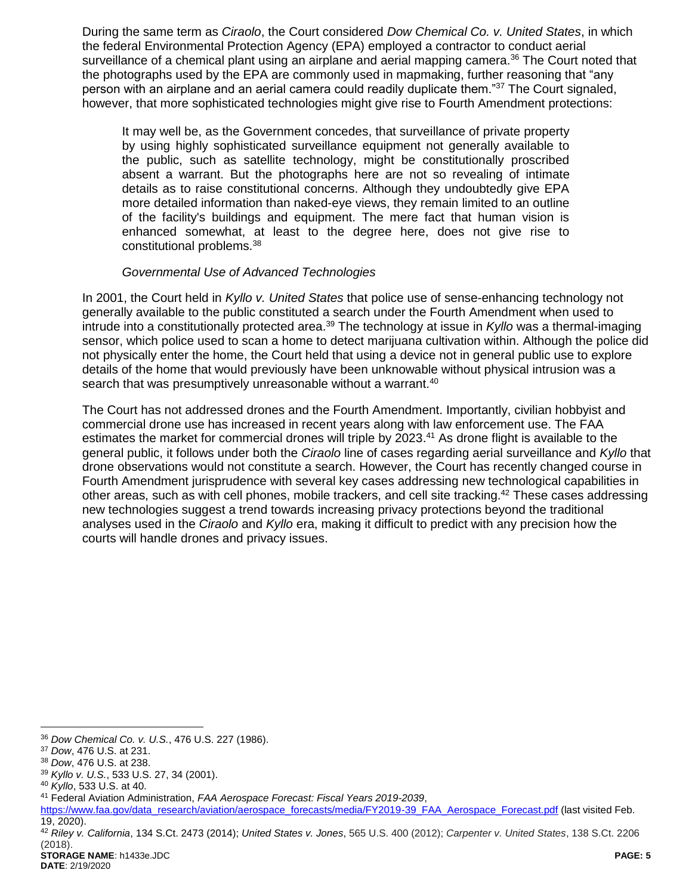During the same term as *Ciraolo*, the Court considered *Dow Chemical Co. v. United States*, in which the federal Environmental Protection Agency (EPA) employed a contractor to conduct aerial surveillance of a chemical plant using an airplane and aerial mapping camera.<sup>36</sup> The Court noted that the photographs used by the EPA are commonly used in mapmaking, further reasoning that "any person with an airplane and an aerial camera could readily duplicate them."<sup>37</sup> The Court signaled, however, that more sophisticated technologies might give rise to Fourth Amendment protections:

It may well be, as the Government concedes, that surveillance of private property by using highly sophisticated surveillance equipment not generally available to the public, such as satellite technology, might be constitutionally proscribed absent a warrant. But the photographs here are not so revealing of intimate details as to raise constitutional concerns. Although they undoubtedly give EPA more detailed information than naked-eye views, they remain limited to an outline of the facility's buildings and equipment. The mere fact that human vision is enhanced somewhat, at least to the degree here, does not give rise to constitutional problems.<sup>38</sup>

#### *Governmental Use of Advanced Technologies*

In 2001, the Court held in *Kyllo v. United States* that police use of sense-enhancing technology not generally available to the public constituted a search under the Fourth Amendment when used to intrude into a constitutionally protected area.<sup>39</sup> The technology at issue in *Kyllo* was a thermal-imaging sensor, which police used to scan a home to detect marijuana cultivation within. Although the police did not physically enter the home, the Court held that using a device not in general public use to explore details of the home that would previously have been unknowable without physical intrusion was a search that was presumptively unreasonable without a warrant.<sup>40</sup>

The Court has not addressed drones and the Fourth Amendment. Importantly, civilian hobbyist and commercial drone use has increased in recent years along with law enforcement use. The FAA estimates the market for commercial drones will triple by 2023.<sup>41</sup> As drone flight is available to the general public, it follows under both the *Ciraolo* line of cases regarding aerial surveillance and *Kyllo* that drone observations would not constitute a search. However, the Court has recently changed course in Fourth Amendment jurisprudence with several key cases addressing new technological capabilities in other areas, such as with cell phones, mobile trackers, and cell site tracking.<sup>42</sup> These cases addressing new technologies suggest a trend towards increasing privacy protections beyond the traditional analyses used in the *Ciraolo* and *Kyllo* era, making it difficult to predict with any precision how the courts will handle drones and privacy issues.

<sup>39</sup> *Kyllo v. U.S.*, 533 U.S. 27, 34 (2001).

 $\overline{a}$ <sup>36</sup> *Dow Chemical Co. v. U.S.*, 476 U.S. 227 (1986).

<sup>37</sup> *Dow*, 476 U.S. at 231.

<sup>38</sup> *Dow*, 476 U.S. at 238.

<sup>40</sup> *Kyllo*, 533 U.S. at 40.

<sup>41</sup> Federal Aviation Administration, *FAA Aerospace Forecast: Fiscal Years 2019-2039*,

[https://www.faa.gov/data\\_research/aviation/aerospace\\_forecasts/media/FY2019-39\\_FAA\\_Aerospace\\_Forecast.pdf](https://www.faa.gov/data_research/aviation/aerospace_forecasts/media/FY2019-39_FAA_Aerospace_Forecast.pdf) (last visited Feb. 19, 2020).

**STORAGE NAME**: h1433e.JDC **PAGE: 5** <sup>42</sup> *Riley v. California*, 134 S.Ct. 2473 (2014); *United States v. Jones*, 565 U.S. 400 (2012); *Carpenter v. United States*, 138 S.Ct. 2206 (2018).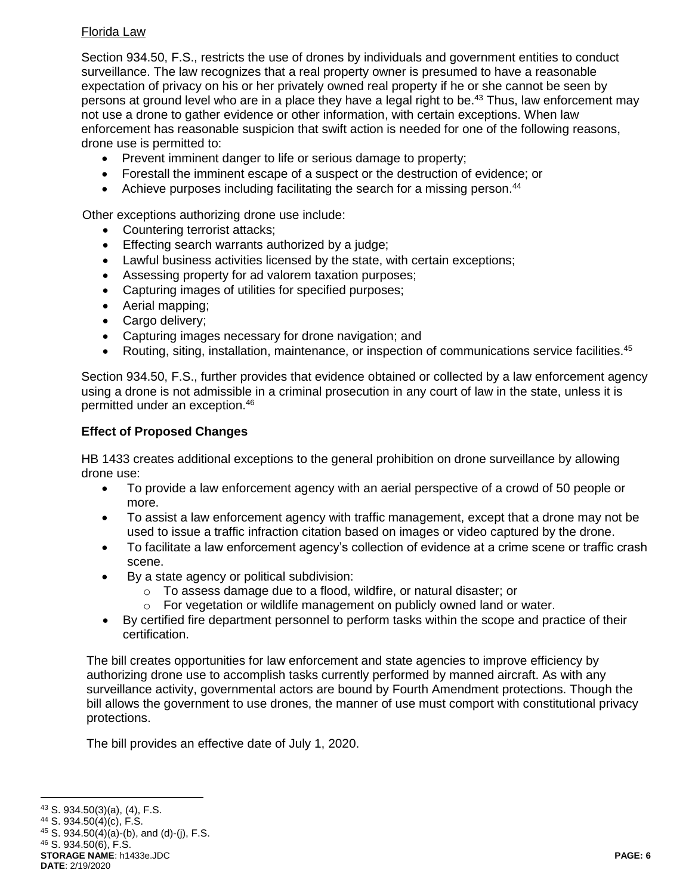## Florida Law

Section 934.50, F.S., restricts the use of drones by individuals and government entities to conduct surveillance. The law recognizes that a real property owner is presumed to have a reasonable expectation of privacy on his or her privately owned real property if he or she cannot be seen by persons at ground level who are in a place they have a legal right to be.<sup>43</sup> Thus, law enforcement may not use a drone to gather evidence or other information, with certain exceptions. When law enforcement has reasonable suspicion that swift action is needed for one of the following reasons, drone use is permitted to:

- Prevent imminent danger to life or serious damage to property;
- Forestall the imminent escape of a suspect or the destruction of evidence; or
- Achieve purposes including facilitating the search for a missing person.<sup>44</sup>

Other exceptions authorizing drone use include:

- Countering terrorist attacks;
- **Effecting search warrants authorized by a judge;**
- Lawful business activities licensed by the state, with certain exceptions;
- Assessing property for ad valorem taxation purposes;
- Capturing images of utilities for specified purposes;
- Aerial mapping;
- Cargo delivery;
- Capturing images necessary for drone navigation; and
- Routing, siting, installation, maintenance, or inspection of communications service facilities.<sup>45</sup>

Section 934.50, F.S., further provides that evidence obtained or collected by a law enforcement agency using a drone is not admissible in a criminal prosecution in any court of law in the state, unless it is permitted under an exception. 46

## **Effect of Proposed Changes**

HB 1433 creates additional exceptions to the general prohibition on drone surveillance by allowing drone use:

- To provide a law enforcement agency with an aerial perspective of a crowd of 50 people or more.
- To assist a law enforcement agency with traffic management, except that a drone may not be used to issue a traffic infraction citation based on images or video captured by the drone.
- To facilitate a law enforcement agency's collection of evidence at a crime scene or traffic crash scene.
- By a state agency or political subdivision:
	- o To assess damage due to a flood, wildfire, or natural disaster; or
	- o For vegetation or wildlife management on publicly owned land or water.
- By certified fire department personnel to perform tasks within the scope and practice of their certification.

The bill creates opportunities for law enforcement and state agencies to improve efficiency by authorizing drone use to accomplish tasks currently performed by manned aircraft. As with any surveillance activity, governmental actors are bound by Fourth Amendment protections. Though the bill allows the government to use drones, the manner of use must comport with constitutional privacy protections.

The bill provides an effective date of July 1, 2020.

**STORAGE NAME**: h1433e.JDC **PAGE: 6 DATE**: 2/19/2020

 $\overline{a}$ <sup>43</sup> S. 934.50(3)(a), (4), F.S.

<sup>44</sup> S. 934.50(4)(c), F.S.

 $45$  S. 934.50(4)(a)-(b), and (d)-(j), F.S.

<sup>46</sup> S. 934.50(6), F.S.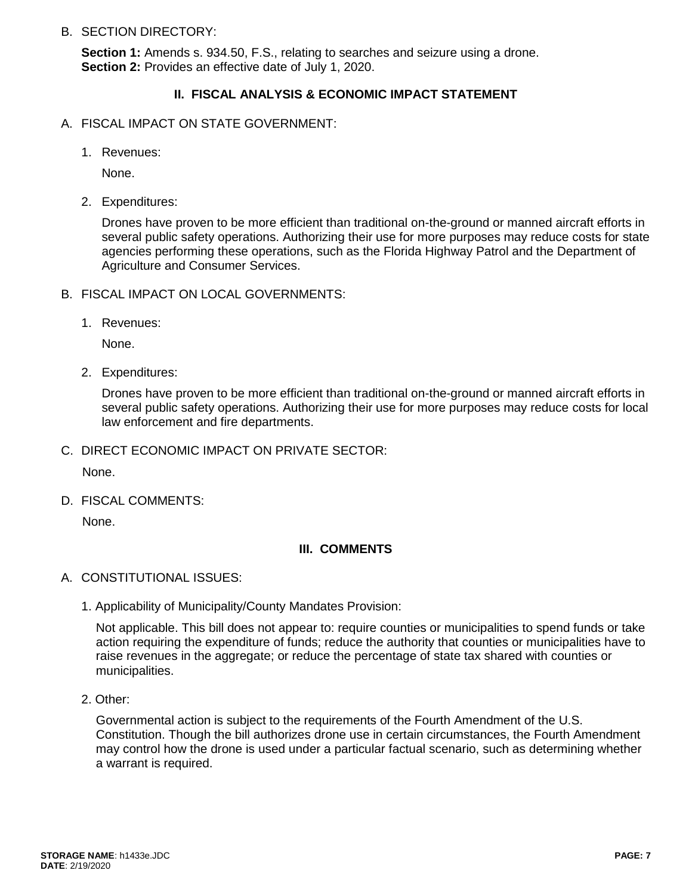B. SECTION DIRECTORY:

**Section 1:** Amends s. 934.50, F.S., relating to searches and seizure using a drone. **Section 2:** Provides an effective date of July 1, 2020.

## **II. FISCAL ANALYSIS & ECONOMIC IMPACT STATEMENT**

- A. FISCAL IMPACT ON STATE GOVERNMENT:
	- 1. Revenues:

None.

2. Expenditures:

Drones have proven to be more efficient than traditional on-the-ground or manned aircraft efforts in several public safety operations. Authorizing their use for more purposes may reduce costs for state agencies performing these operations, such as the Florida Highway Patrol and the Department of Agriculture and Consumer Services.

- B. FISCAL IMPACT ON LOCAL GOVERNMENTS:
	- 1. Revenues:

None.

2. Expenditures:

Drones have proven to be more efficient than traditional on-the-ground or manned aircraft efforts in several public safety operations. Authorizing their use for more purposes may reduce costs for local law enforcement and fire departments.

C. DIRECT ECONOMIC IMPACT ON PRIVATE SECTOR:

None.

D. FISCAL COMMENTS:

None.

#### **III. COMMENTS**

- A. CONSTITUTIONAL ISSUES:
	- 1. Applicability of Municipality/County Mandates Provision:

Not applicable. This bill does not appear to: require counties or municipalities to spend funds or take action requiring the expenditure of funds; reduce the authority that counties or municipalities have to raise revenues in the aggregate; or reduce the percentage of state tax shared with counties or municipalities.

2. Other:

Governmental action is subject to the requirements of the Fourth Amendment of the U.S. Constitution. Though the bill authorizes drone use in certain circumstances, the Fourth Amendment may control how the drone is used under a particular factual scenario, such as determining whether a warrant is required.